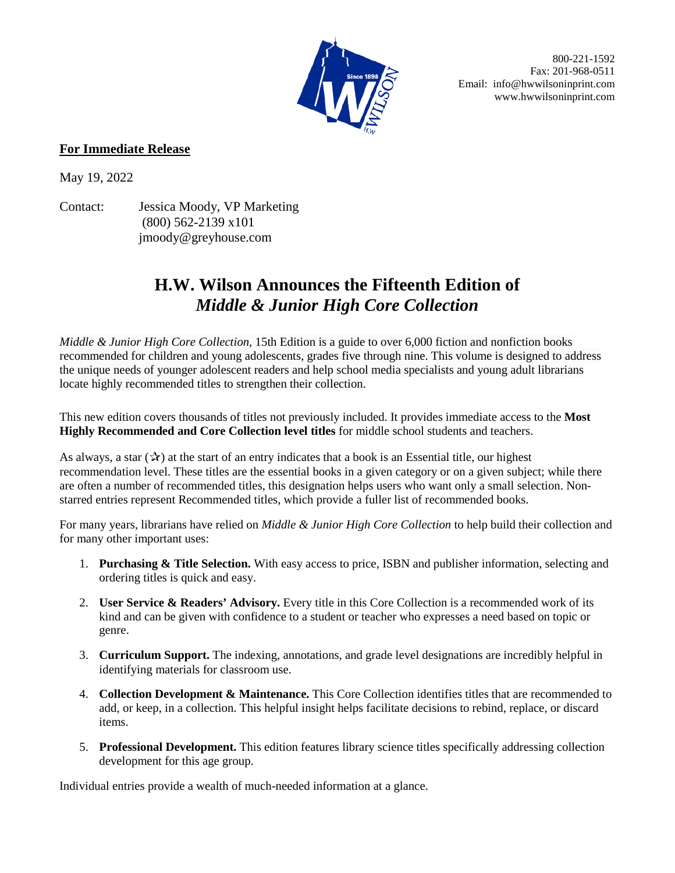

 800-221-1592 Fax: 201-968-0511 Email: info@hwwilsoninprint.com www.hwwilsoninprint.com

## **For Immediate Release**

May 19, 2022

Contact: Jessica Moody, VP Marketing (800) 562-2139 x101 jmoody@greyhouse.com

## **H.W. Wilson Announces the Fifteenth Edition of**  *Middle & Junior High Core Collection*

*Middle & Junior High Core Collection,* 15th Edition is a guide to over 6,000 fiction and nonfiction books recommended for children and young adolescents, grades five through nine. This volume is designed to address the unique needs of younger adolescent readers and help school media specialists and young adult librarians locate highly recommended titles to strengthen their collection.

This new edition covers thousands of titles not previously included. It provides immediate access to the **Most Highly Recommended and Core Collection level titles** for middle school students and teachers.

As always, a star  $(\mathcal{X})$  at the start of an entry indicates that a book is an Essential title, our highest recommendation level. These titles are the essential books in a given category or on a given subject; while there are often a number of recommended titles, this designation helps users who want only a small selection. Nonstarred entries represent Recommended titles, which provide a fuller list of recommended books.

For many years, librarians have relied on *Middle & Junior High Core Collection* to help build their collection and for many other important uses:

- 1. **Purchasing & Title Selection.** With easy access to price, ISBN and publisher information, selecting and ordering titles is quick and easy.
- 2. **User Service & Readers' Advisory.** Every title in this Core Collection is a recommended work of its kind and can be given with confidence to a student or teacher who expresses a need based on topic or genre.
- 3. **Curriculum Support.** The indexing, annotations, and grade level designations are incredibly helpful in identifying materials for classroom use.
- 4. **Collection Development & Maintenance.** This Core Collection identifies titles that are recommended to add, or keep, in a collection. This helpful insight helps facilitate decisions to rebind, replace, or discard items.
- 5. **Professional Development.** This edition features library science titles specifically addressing collection development for this age group.

Individual entries provide a wealth of much-needed information at a glance.